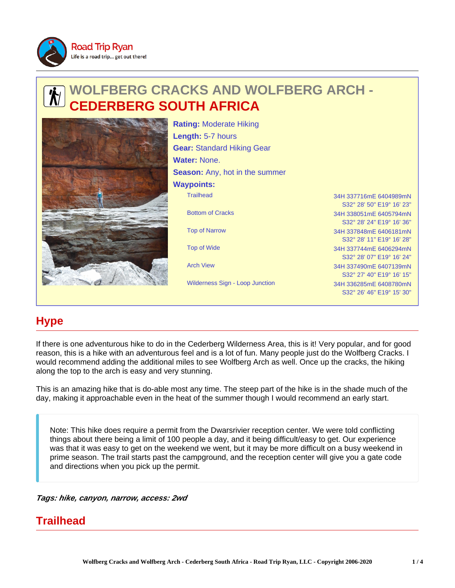

# **WOLFBERG CRACKS AND WOLFBERG ARCH - ERBERG SOUTH AFRICA**



Trailhead 34H 337716mE 6404989mN Bottom of Cracks 34H 338051mE 6405794mN Top of Narrow 34H 337848mE 6406181mN Top of Wide 34H 337744mE 6406294mN Arch View 34H 337490mE 6407139mN **Rating:** Moderate Hiking **Length:** 5-7 hours **Gear:** Standard Hiking Gear **Water:** None. **Season:** Any, hot in the summer **Waypoints:**

Wilderness Sign - Loop Junction 34H 336285mE 6408780mN

S32° 28' 50" E19° 16' 23" S32° 28' 24" E19° 16' 36" S32° 28' 11" E19° 16' 28" S32° 28' 07" E19° 16' 24" S32° 27' 40" E19° 16' 15" S32° 26' 46" E19° 15' 30"

# **Hype**

If there is one adventurous hike to do in the Cederberg Wilderness Area, this is it! Very popular, and for good reason, this is a hike with an adventurous feel and is a lot of fun. Many people just do the Wolfberg Cracks. I would recommend adding the additional miles to see Wolfberg Arch as well. Once up the cracks, the hiking along the top to the arch is easy and very stunning.

This is an amazing hike that is do-able most any time. The steep part of the hike is in the shade much of the day, making it approachable even in the heat of the summer though I would recommend an early start.

Note: This hike does require a permit from the Dwarsrivier reception center. We were told conflicting things about there being a limit of 100 people a day, and it being difficult/easy to get. Our experience was that it was easy to get on the weekend we went, but it may be more difficult on a busy weekend in prime season. The trail starts past the campground, and the reception center will give you a gate code and directions when you pick up the permit.

**Tags: hike, canyon, narrow, access: 2wd**

## **Trailhead**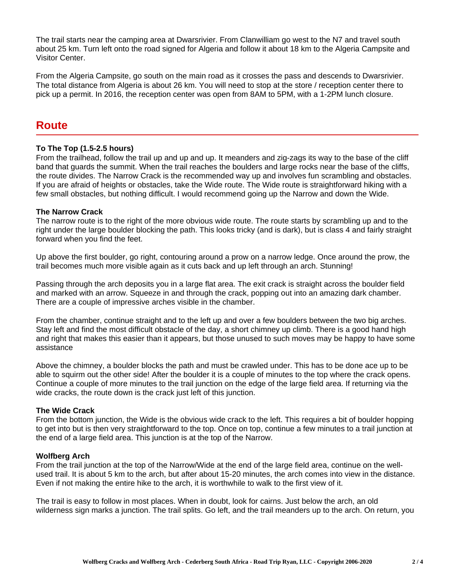The trail starts near the camping area at Dwarsrivier. From Clanwilliam go west to the N7 and travel south about 25 km. Turn left onto the road signed for Algeria and follow it about 18 km to the Algeria Campsite and Visitor Center.

From the Algeria Campsite, go south on the main road as it crosses the pass and descends to Dwarsrivier. The total distance from Algeria is about 26 km. You will need to stop at the store / reception center there to pick up a permit. In 2016, the reception center was open from 8AM to 5PM, with a 1-2PM lunch closure.

### **Route**

#### **To The Top (1.5-2.5 hours)**

From the trailhead, follow the trail up and up and up. It meanders and zig-zags its way to the base of the cliff band that guards the summit. When the trail reaches the boulders and large rocks near the base of the cliffs, the route divides. The Narrow Crack is the recommended way up and involves fun scrambling and obstacles. If you are afraid of heights or obstacles, take the Wide route. The Wide route is straightforward hiking with a few small obstacles, but nothing difficult. I would recommend going up the Narrow and down the Wide.

#### **The Narrow Crack**

The narrow route is to the right of the more obvious wide route. The route starts by scrambling up and to the right under the large boulder blocking the path. This looks tricky (and is dark), but is class 4 and fairly straight forward when you find the feet.

Up above the first boulder, go right, contouring around a prow on a narrow ledge. Once around the prow, the trail becomes much more visible again as it cuts back and up left through an arch. Stunning!

Passing through the arch deposits you in a large flat area. The exit crack is straight across the boulder field and marked with an arrow. Squeeze in and through the crack, popping out into an amazing dark chamber. There are a couple of impressive arches visible in the chamber.

From the chamber, continue straight and to the left up and over a few boulders between the two big arches. Stay left and find the most difficult obstacle of the day, a short chimney up climb. There is a good hand high and right that makes this easier than it appears, but those unused to such moves may be happy to have some assistance

Above the chimney, a boulder blocks the path and must be crawled under. This has to be done ace up to be able to squirm out the other side! After the boulder it is a couple of minutes to the top where the crack opens. Continue a couple of more minutes to the trail junction on the edge of the large field area. If returning via the wide cracks, the route down is the crack just left of this junction.

#### **The Wide Crack**

From the bottom junction, the Wide is the obvious wide crack to the left. This requires a bit of boulder hopping to get into but is then very straightforward to the top. Once on top, continue a few minutes to a trail junction at the end of a large field area. This junction is at the top of the Narrow.

#### **Wolfberg Arch**

From the trail junction at the top of the Narrow/Wide at the end of the large field area, continue on the wellused trail. It is about 5 km to the arch, but after about 15-20 minutes, the arch comes into view in the distance. Even if not making the entire hike to the arch, it is worthwhile to walk to the first view of it.

The trail is easy to follow in most places. When in doubt, look for cairns. Just below the arch, an old wilderness sign marks a junction. The trail splits. Go left, and the trail meanders up to the arch. On return, you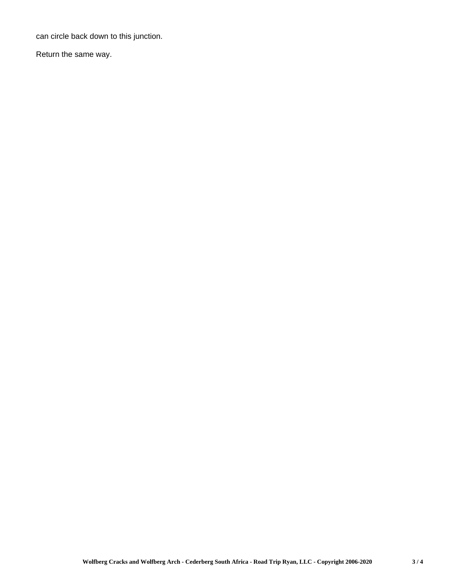can circle back down to this junction.

Return the same way.